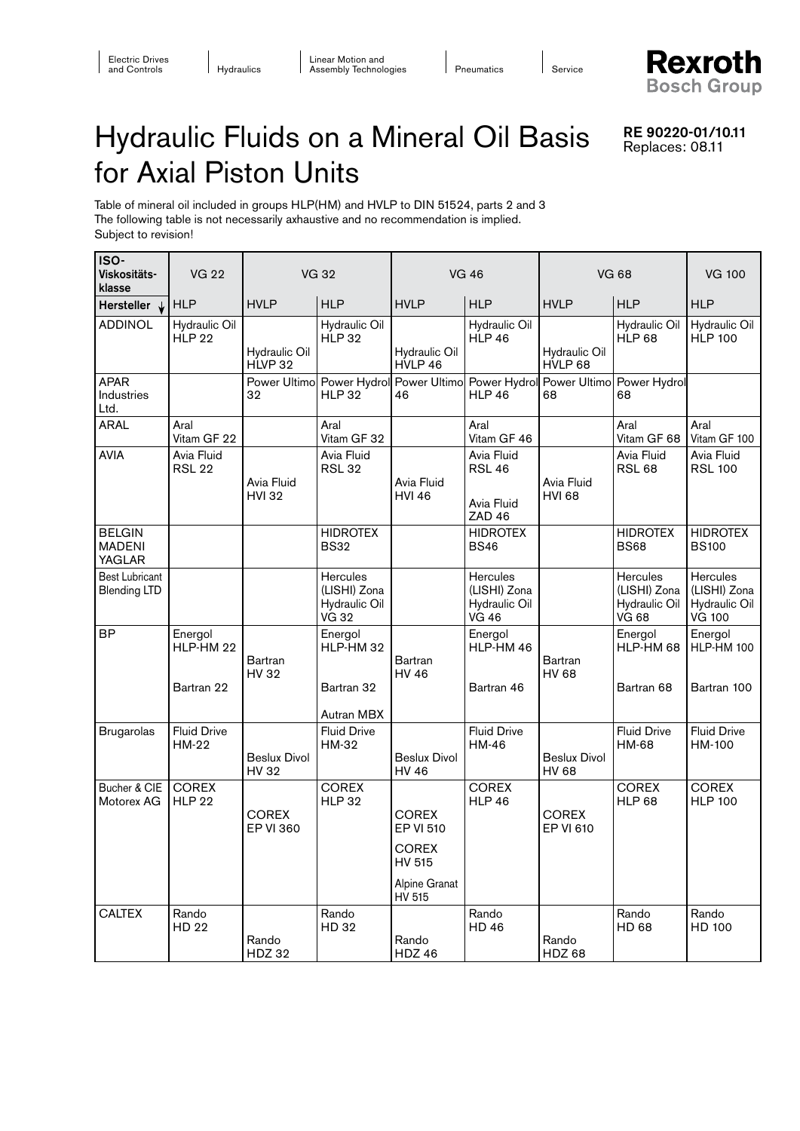**Rexroth Bosch Group** 

RE 90220-01/10.11 Replaces: 08.11

## Hydraulic Fluids on a Mineral Oil Basis for Axial Piston Units

Table of mineral oil included in groups HLP(HM) and HVLP to DIN 51524, parts 2 and 3 The following table is not necessarily axhaustive and no recommendation is implied. Subject to revision!

| ISO-<br>Viskositäts-<br>klasse                  | <b>VG 22</b>                       | <b>VG 32</b>                     |                                                           | <b>VG 46</b>                                                                   |                                                                                   | <b>VG 68</b>                     |                                                                  | <b>VG 100</b>                                              |
|-------------------------------------------------|------------------------------------|----------------------------------|-----------------------------------------------------------|--------------------------------------------------------------------------------|-----------------------------------------------------------------------------------|----------------------------------|------------------------------------------------------------------|------------------------------------------------------------|
| Hersteller $\downarrow$                         | <b>HLP</b>                         | <b>HVLP</b>                      | <b>HLP</b>                                                | <b>HVLP</b>                                                                    | <b>HLP</b>                                                                        | <b>HVLP</b>                      | <b>HLP</b>                                                       | <b>HLP</b>                                                 |
| <b>ADDINOL</b>                                  | Hydraulic Oil<br><b>HLP 22</b>     | Hydraulic Oil<br>HLVP 32         | Hydraulic Oil<br><b>HLP 32</b>                            | Hydraulic Oil<br>HVLP 46                                                       | Hydraulic Oil<br><b>HLP 46</b>                                                    | Hydraulic Oil<br>HVLP 68         | Hydraulic Oil<br><b>HLP 68</b>                                   | Hydraulic Oil<br><b>HLP 100</b>                            |
| <b>APAR</b><br>Industries<br>Ltd.               |                                    | 32                               | <b>HLP 32</b>                                             | 46                                                                             | Power Ultimo Power Hydrol Power Ultimo Power Hydrol Power Ultimo<br><b>HLP 46</b> | 68                               | Power Hydrol<br>68                                               |                                                            |
| <b>ARAL</b>                                     | Aral<br>Vitam GF 22                |                                  | Aral<br>Vitam GF 32                                       |                                                                                | Aral<br>Vitam GF 46                                                               |                                  | Aral<br>Vitam GF 68                                              | Aral<br>Vitam GF 100                                       |
| <b>AVIA</b>                                     | Avia Fluid<br><b>RSL 22</b>        | Avia Fluid<br><b>HVI 32</b>      | Avia Fluid<br><b>RSL 32</b>                               | Avia Fluid<br><b>HVI 46</b>                                                    | Avia Fluid<br><b>RSL 46</b><br>Avia Fluid<br><b>ZAD 46</b>                        | Avia Fluid<br><b>HVI 68</b>      | Avia Fluid<br><b>RSL 68</b>                                      | Avia Fluid<br><b>RSL 100</b>                               |
| <b>BELGIN</b><br><b>MADENI</b><br><b>YAGLAR</b> |                                    |                                  | <b>HIDROTEX</b><br><b>BS32</b>                            |                                                                                | <b>HIDROTEX</b><br><b>BS46</b>                                                    |                                  | <b>HIDROTEX</b><br><b>BS68</b>                                   | <b>HIDROTEX</b><br><b>BS100</b>                            |
| <b>Best Lubricant</b><br><b>Blending LTD</b>    |                                    |                                  | Hercules<br>(LISHI) Zona<br>Hydraulic Oil<br><b>VG 32</b> |                                                                                | Hercules<br>(LISHI) Zona<br>Hydraulic Oil<br><b>VG 46</b>                         |                                  | <b>Hercules</b><br>(LISHI) Zona<br>Hydraulic Oil<br><b>VG 68</b> | Hercules<br>(LISHI) Zona<br>Hydraulic Oil<br><b>VG 100</b> |
| <b>BP</b>                                       | Energol<br>HLP-HM 22<br>Bartran 22 | Bartran<br><b>HV32</b>           | Energol<br>HLP-HM 32<br>Bartran 32<br>Autran MBX          | <b>Bartran</b><br><b>HV 46</b>                                                 | Energol<br>HLP-HM 46<br>Bartran 46                                                | Bartran<br><b>HV 68</b>          | Energol<br>HLP-HM 68<br>Bartran 68                               | Energol<br>HLP-HM 100<br>Bartran 100                       |
| <b>Brugarolas</b>                               | <b>Fluid Drive</b><br><b>HM-22</b> | Beslux Divol<br>HV 32            | <b>Fluid Drive</b><br>HM-32                               | <b>Beslux Divol</b><br><b>HV 46</b>                                            | <b>Fluid Drive</b><br>HM-46                                                       | <b>Beslux Divol</b><br>HV 68     | <b>Fluid Drive</b><br>HM-68                                      | <b>Fluid Drive</b><br>HM-100                               |
| Bucher & CIE<br>Motorex AG                      | <b>COREX</b><br><b>HLP 22</b>      | <b>COREX</b><br><b>EP VI 360</b> | <b>COREX</b><br><b>HLP 32</b>                             | <b>COREX</b><br>EP VI 510<br><b>COREX</b><br>HV 515<br>Alpine Granat<br>HV 515 | <b>COREX</b><br><b>HLP 46</b>                                                     | <b>COREX</b><br><b>EP VI 610</b> | <b>COREX</b><br><b>HLP 68</b>                                    | <b>COREX</b><br><b>HLP 100</b>                             |
| <b>CALTEX</b>                                   | Rando<br>HD 22                     | Rando<br><b>HDZ 32</b>           | Rando<br>HD 32                                            | Rando<br><b>HDZ 46</b>                                                         | Rando<br><b>HD46</b>                                                              | Rando<br><b>HDZ 68</b>           | Rando<br>HD 68                                                   | Rando<br>HD 100                                            |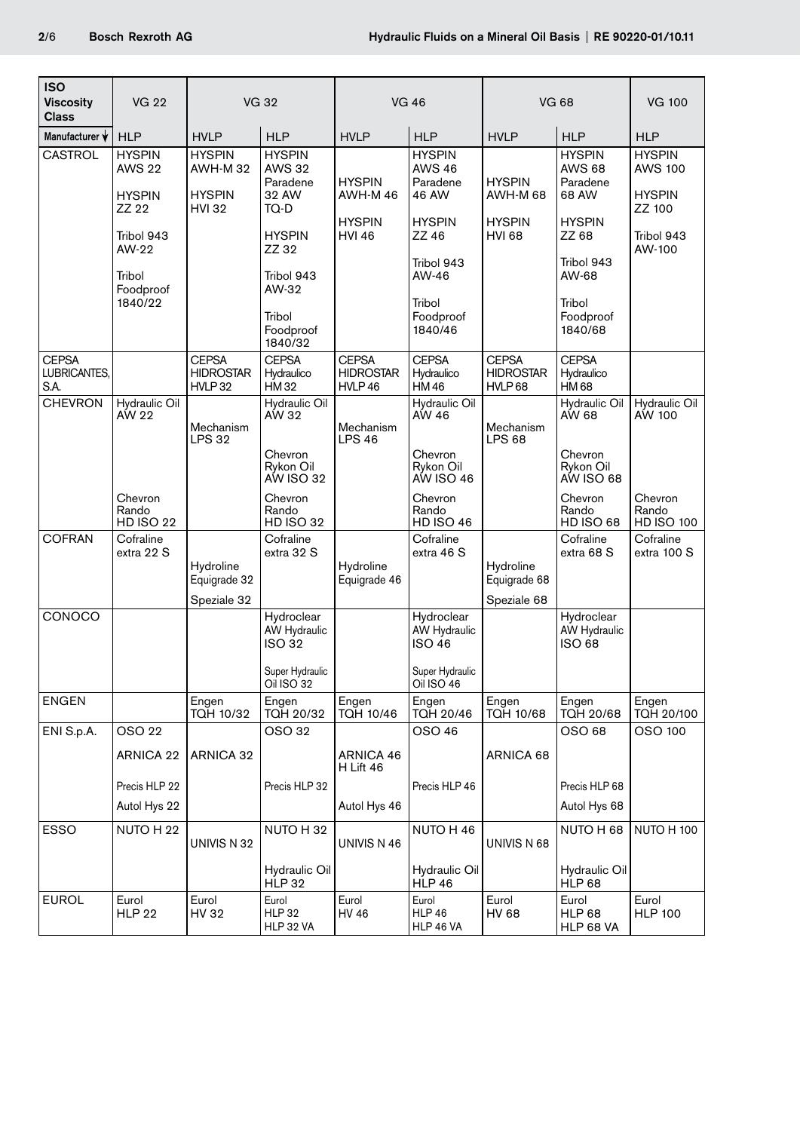| <b>ISO</b><br><b>Viscosity</b><br><b>Class</b> | <b>VG 22</b>                                                                                                      | <b>VG 32</b>                                                      |                                                                                                                        | <b>VG 46</b>                                               |                                                                                                                             | <b>VG 68</b>                                                |                                                                                                                             | <b>VG 100</b>                                                                      |
|------------------------------------------------|-------------------------------------------------------------------------------------------------------------------|-------------------------------------------------------------------|------------------------------------------------------------------------------------------------------------------------|------------------------------------------------------------|-----------------------------------------------------------------------------------------------------------------------------|-------------------------------------------------------------|-----------------------------------------------------------------------------------------------------------------------------|------------------------------------------------------------------------------------|
| Manufacturer V                                 | <b>HLP</b>                                                                                                        | <b>HVLP</b>                                                       | <b>HLP</b>                                                                                                             | <b>HVLP</b>                                                | <b>HLP</b>                                                                                                                  | <b>HVLP</b>                                                 | <b>HLP</b>                                                                                                                  | <b>HLP</b>                                                                         |
| <b>CASTROL</b>                                 | <b>HYSPIN</b><br><b>AWS 22</b><br><b>HYSPIN</b><br>ZZ 22<br>Tribol 943<br>AW-22<br>Tribol<br>Foodproof<br>1840/22 | <b>HYSPIN</b><br><b>AWH-M32</b><br><b>HYSPIN</b><br><b>HVI 32</b> | <b>HYSPIN</b><br><b>AWS 32</b><br>Paradene<br>32 AW<br>TQ-D<br><b>HYSPIN</b><br>ZZ 32<br>Tribol 943<br>AW-32<br>Tribol | <b>HYSPIN</b><br>AWH-M46<br><b>HYSPIN</b><br><b>HVI 46</b> | <b>HYSPIN</b><br><b>AWS 46</b><br>Paradene<br>46 AW<br><b>HYSPIN</b><br>ZZ 46<br>Tribol 943<br>AW-46<br>Tribol<br>Foodproof | <b>HYSPIN</b><br>AWH-M 68<br><b>HYSPIN</b><br><b>HVI 68</b> | <b>HYSPIN</b><br><b>AWS 68</b><br>Paradene<br>68 AW<br><b>HYSPIN</b><br>ZZ 68<br>Tribol 943<br>AW-68<br>Tribol<br>Foodproof | <b>HYSPIN</b><br><b>AWS 100</b><br><b>HYSPIN</b><br>ZZ 100<br>Tribol 943<br>AW-100 |
| <b>CEPSA</b>                                   |                                                                                                                   | <b>CEPSA</b>                                                      | Foodproof<br>1840/32<br><b>CEPSA</b>                                                                                   | <b>CEPSA</b>                                               | 1840/46<br><b>CEPSA</b>                                                                                                     | <b>CEPSA</b>                                                | 1840/68<br><b>CEPSA</b>                                                                                                     |                                                                                    |
| LUBRICANTES,<br>S.A.                           |                                                                                                                   | <b>HIDROSTAR</b><br>HVLP32                                        | Hydraulico<br><b>HM32</b>                                                                                              | <b>HIDROSTAR</b><br>HVLP46                                 | Hydraulico<br><b>HM46</b>                                                                                                   | <b>HIDROSTAR</b><br>HVLP <sub>68</sub>                      | Hydraulico<br><b>HM68</b>                                                                                                   |                                                                                    |
| <b>CHEVRON</b>                                 | Hydraulic Oil<br>AW 22                                                                                            | Mechanism<br><b>LPS 32</b>                                        | Hydraulic Oil<br>AW 32<br>Chevron                                                                                      | Mechanism<br><b>LPS 46</b>                                 | Hydraulic Oil<br>AW 46<br>Chevron                                                                                           | Mechanism<br><b>LPS 68</b>                                  | Hydraulic Oil<br>AW 68<br>Chevron                                                                                           | Hydraulic Oil<br>AW 100                                                            |
|                                                |                                                                                                                   |                                                                   | Rykon Oil<br>AW ISO 32                                                                                                 |                                                            | Rykon Oil<br>AW ISO 46                                                                                                      |                                                             | Rykon Oil<br>AW ISO 68                                                                                                      |                                                                                    |
|                                                | Chevron<br>Rando<br><b>HD ISO 22</b>                                                                              |                                                                   | Chevron<br>Rando<br><b>HD ISO 32</b>                                                                                   |                                                            | Chevron<br>Rando<br><b>HD ISO 46</b>                                                                                        |                                                             | Chevron<br>Rando<br><b>HD ISO 68</b>                                                                                        | Chevron<br>Rando<br><b>HD ISO 100</b>                                              |
| <b>COFRAN</b>                                  | Cofraline<br>extra 22 S                                                                                           | Hydroline<br>Equigrade 32<br>Speziale 32                          | Cofraline<br>extra 32 S                                                                                                | Hydroline<br>Equigrade 46                                  | Cofraline<br>extra 46 S                                                                                                     | Hydroline<br>Equigrade 68<br>Speziale 68                    | Cofraline<br>extra 68 S                                                                                                     | Cofraline<br>extra 100 S                                                           |
| CONOCO                                         |                                                                                                                   |                                                                   | Hydroclear<br>AW Hydraulic<br><b>ISO 32</b>                                                                            |                                                            | Hydroclear<br>AW Hydraulic<br>ISO 46                                                                                        |                                                             | Hydroclear<br>AW Hydraulic<br>ISO 68                                                                                        |                                                                                    |
|                                                |                                                                                                                   |                                                                   | Super Hydraulic<br>Oil ISO 32                                                                                          |                                                            | Super Hydraulic<br><b>Oil ISO 46</b>                                                                                        |                                                             |                                                                                                                             |                                                                                    |
| <b>ENGEN</b>                                   |                                                                                                                   | Engen<br><b>TQH 10/32</b>                                         | Engen<br><b>TQH 20/32</b>                                                                                              | Engen<br>TQH 10/46                                         | Engen<br><b>TQH 20/46</b>                                                                                                   | Engen<br>TQH 10/68                                          | Engen<br><b>TQH 20/68</b>                                                                                                   | Engen<br>TQH 20/100                                                                |
| ENI S.p.A.                                     | OSO 22                                                                                                            |                                                                   | OSO 32                                                                                                                 |                                                            | OSO 46                                                                                                                      |                                                             | OSO 68                                                                                                                      | OSO 100                                                                            |
|                                                | ARNICA 22                                                                                                         | ARNICA 32                                                         |                                                                                                                        | ARNICA 46<br>H Lift 46                                     |                                                                                                                             | ARNICA 68                                                   |                                                                                                                             |                                                                                    |
|                                                | Precis HLP 22                                                                                                     |                                                                   | Precis HLP 32                                                                                                          |                                                            | Precis HLP 46                                                                                                               |                                                             | Precis HLP 68                                                                                                               |                                                                                    |
|                                                | Autol Hys 22                                                                                                      |                                                                   |                                                                                                                        | Autol Hys 46                                               |                                                                                                                             |                                                             | Autol Hys 68                                                                                                                |                                                                                    |
| <b>ESSO</b>                                    | NUTO H 22                                                                                                         | UNIVIS N 32                                                       | NUTO H 32<br>Hydraulic Oil                                                                                             | UNIVIS N 46                                                | NUTO H 46<br>Hydraulic Oil                                                                                                  | UNIVIS N 68                                                 | NUTO H 68<br>Hydraulic Oil                                                                                                  | <b>NUTO H 100</b>                                                                  |
| <b>EUROL</b>                                   | Eurol<br><b>HLP 22</b>                                                                                            | Eurol<br>HV 32                                                    | <b>HLP 32</b><br>Eurol<br><b>HLP 32</b><br>HLP 32 VA                                                                   | Eurol<br><b>HV 46</b>                                      | <b>HLP 46</b><br>Eurol<br><b>HLP 46</b><br>HLP 46 VA                                                                        | Eurol<br><b>HV 68</b>                                       | <b>HLP 68</b><br>Eurol<br>HLP 68<br>HLP 68 VA                                                                               | Eurol<br><b>HLP 100</b>                                                            |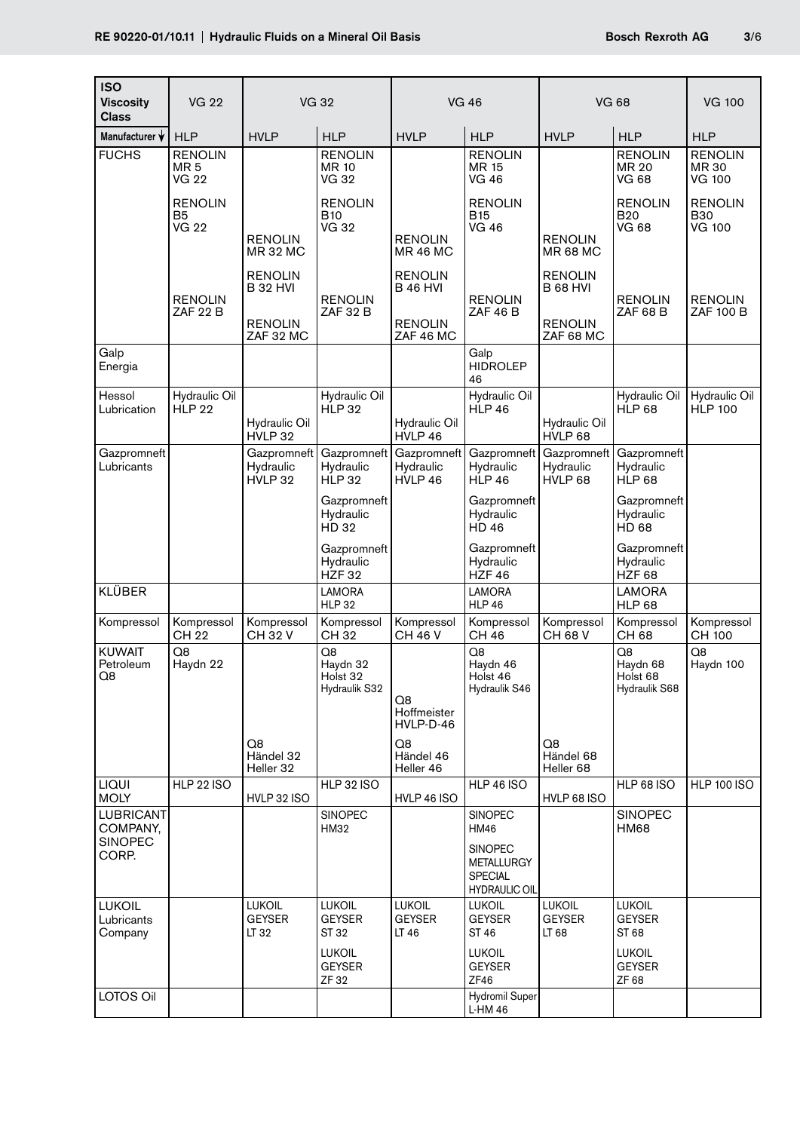| <b>ISO</b><br><b>Viscosity</b><br>Class        | <b>VG 22</b>                                      | <b>VG 32</b>                                                     |                                                | <b>VG 46</b>                                              |                                                             | <b>VG 68</b>                                              |                                              | <b>VG 100</b>                                 |
|------------------------------------------------|---------------------------------------------------|------------------------------------------------------------------|------------------------------------------------|-----------------------------------------------------------|-------------------------------------------------------------|-----------------------------------------------------------|----------------------------------------------|-----------------------------------------------|
| Manufacturer V                                 | <b>HLP</b>                                        | <b>HVLP</b>                                                      | <b>HLP</b>                                     | <b>HVLP</b>                                               | <b>HLP</b>                                                  | <b>HVLP</b>                                               | <b>HLP</b>                                   | <b>HLP</b>                                    |
| <b>FUCHS</b>                                   | <b>RENOLIN</b><br>MR <sub>5</sub><br><b>VG 22</b> |                                                                  | <b>RENOLIN</b><br><b>MR 10</b><br><b>VG 32</b> |                                                           | <b>RENOLIN</b><br>MR 15<br>VG 46                            |                                                           | <b>RENOLIN</b><br>MR 20<br>VG 68             | <b>RENOLIN</b><br>MR 30<br>VG 100             |
|                                                | <b>RENOLIN</b><br>B <sub>5</sub><br><b>VG 22</b>  | <b>RENOLIN</b><br><b>MR 32 MC</b>                                | <b>RENOLIN</b><br><b>B10</b><br><b>VG 32</b>   | <b>RENOLIN</b><br><b>MR 46 MC</b>                         | <b>RENOLIN</b><br><b>B15</b><br><b>VG 46</b>                | <b>RENOLIN</b><br><b>MR 68 MC</b>                         | <b>RENOLIN</b><br><b>B20</b><br><b>VG 68</b> | <b>RENOLIN</b><br><b>B30</b><br><b>VG 100</b> |
|                                                | <b>RENOLIN</b><br>ZAF 22 B                        | <b>RENOLIN</b><br><b>B 32 HVI</b><br><b>RENOLIN</b><br>ZAF 32 MC | <b>RENOLIN</b><br><b>ZAF 32 B</b>              | <b>RENOLIN</b><br>B 46 HVI<br><b>RENOLIN</b><br>ZAF 46 MC | <b>RENOLIN</b><br><b>ZAF 46 B</b>                           | <b>RENOLIN</b><br>B 68 HVI<br><b>RENOLIN</b><br>ZAF 68 MC | <b>RENOLIN</b><br><b>ZAF 68 B</b>            | <b>RENOLIN</b><br><b>ZAF 100 B</b>            |
| Galp<br>Energia                                |                                                   |                                                                  |                                                |                                                           | Galp<br><b>HIDROLEP</b><br>46                               |                                                           |                                              |                                               |
| Hessol<br>Lubrication                          | Hydraulic Oil<br><b>HLP 22</b>                    | Hydraulic Oil<br>HVLP 32                                         | Hydraulic Oil<br><b>HLP 32</b>                 | Hydraulic Oil<br>HVLP 46                                  | Hydraulic Oil<br><b>HLP 46</b>                              | Hydraulic Oil<br>HVLP 68                                  | Hydraulic Oil<br><b>HLP 68</b>               | Hydraulic Oil<br><b>HLP 100</b>               |
| Gazpromneft<br>Lubricants                      |                                                   | Gazpromneft<br>Hydraulic<br>HVLP 32                              | Gazpromneft<br>Hydraulic<br><b>HLP 32</b>      | Gazpromneft<br>Hydraulic<br>HVLP 46                       | Gazpromneft<br>Hydraulic<br><b>HLP 46</b>                   | Gazpromneft<br>Hydraulic<br>HVLP 68                       | Gazpromneft<br>Hydraulic<br><b>HLP 68</b>    |                                               |
|                                                |                                                   |                                                                  | Gazpromneft<br>Hydraulic<br>HD 32              |                                                           | Gazpromneft<br>Hydraulic<br><b>HD46</b>                     |                                                           | Gazpromneft<br>Hydraulic<br>HD 68            |                                               |
|                                                |                                                   |                                                                  | Gazpromneft<br>Hydraulic<br><b>HZF32</b>       |                                                           | Gazpromneft<br>Hydraulic<br><b>HZF46</b>                    |                                                           | Gazpromneft<br>Hydraulic<br><b>HZF 68</b>    |                                               |
| <b>KLÜBER</b>                                  |                                                   |                                                                  | <b>LAMORA</b><br><b>HLP 32</b>                 |                                                           | <b>LAMORA</b><br><b>HLP 46</b>                              |                                                           | <b>LAMORA</b><br><b>HLP 68</b>               |                                               |
| Kompressol                                     | Kompressol<br><b>CH 22</b>                        | Kompressol<br><b>CH32V</b>                                       | Kompressol<br>CH 32                            | Kompressol<br><b>CH 46 V</b>                              | Kompressol<br><b>CH 46</b>                                  | Kompressol<br>CH 68 V                                     | Kompressol<br><b>CH68</b>                    | Kompressol<br><b>CH 100</b>                   |
| <b>KUWAIT</b><br>Petroleum<br>Q8               | Q8<br>Haydn 22                                    | Q8                                                               | Q8<br>Haydn 32<br>Holst 32<br>Hydraulik S32    | Q8<br>Hoffmeister<br>HVLP-D-46<br>Q8                      | Q8<br>Haydn 46<br>Holst 46<br>Hydraulik S46                 | Q8                                                        | Q8<br>Haydn 68<br>Holst 68<br>Hydraulik S68  | Q <sub>8</sub><br>Haydn 100                   |
|                                                |                                                   | Händel 32<br>Heller 32                                           |                                                | Händel 46<br>Heller 46                                    |                                                             | Händel 68<br>Heller 68                                    |                                              |                                               |
| <b>LIQUI</b><br><b>MOLY</b>                    | <b>HLP 22 ISO</b>                                 | HVLP 32 ISO                                                      | <b>HLP 32 ISO</b>                              | HVLP 46 ISO                                               | <b>HLP 46 ISO</b>                                           | <b>HVLP 68 ISO</b>                                        | <b>HLP 68 ISO</b>                            | <b>HLP 100 ISO</b>                            |
| <b>LUBRICANT</b><br>COMPANY,<br><b>SINOPEC</b> |                                                   |                                                                  | SINOPEC<br>HM32                                |                                                           | <b>SINOPEC</b><br>HM46<br><b>SINOPEC</b>                    |                                                           | <b>SINOPEC</b><br><b>HM68</b>                |                                               |
| CORP.                                          |                                                   |                                                                  |                                                |                                                           | <b>METALLURGY</b><br><b>SPECIAL</b><br><b>HYDRAULIC OIL</b> |                                                           |                                              |                                               |
| <b>LUKOIL</b><br>Lubricants<br>Company         |                                                   | <b>LUKOIL</b><br><b>GEYSER</b><br>LT 32                          | <b>LUKOIL</b><br><b>GEYSER</b><br>ST 32        | <b>LUKOIL</b><br><b>GEYSER</b><br>LT 46                   | <b>LUKOIL</b><br><b>GEYSER</b><br>ST 46                     | <b>LUKOIL</b><br><b>GEYSER</b><br>LT 68                   | <b>LUKOIL</b><br><b>GEYSER</b><br>ST 68      |                                               |
|                                                |                                                   |                                                                  | <b>LUKOIL</b><br><b>GEYSER</b><br>ZF 32        |                                                           | <b>LUKOIL</b><br><b>GEYSER</b><br>ZF46                      |                                                           | <b>LUKOIL</b><br><b>GEYSER</b><br>ZF 68      |                                               |
| LOTOS Oil                                      |                                                   |                                                                  |                                                |                                                           | <b>Hydromil Super</b><br>L-HM 46                            |                                                           |                                              |                                               |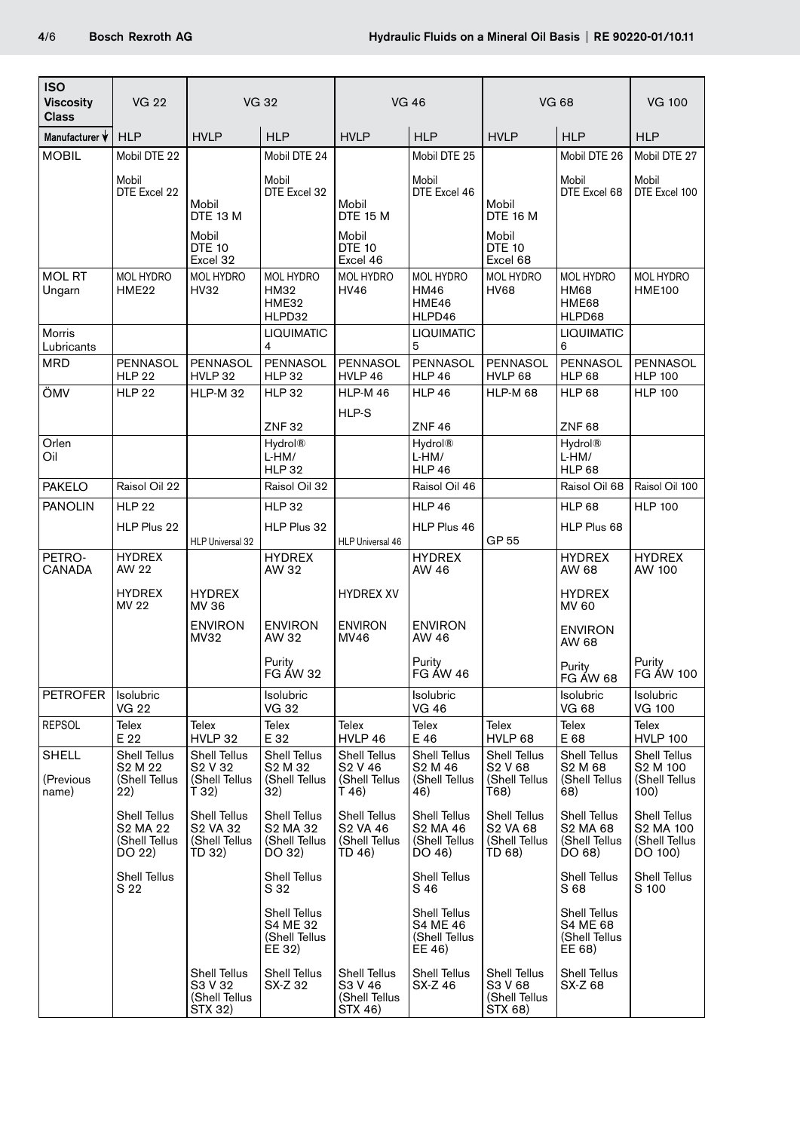| <b>ISO</b><br><b>Viscosity</b><br><b>Class</b> | <b>VG 22</b>                                                                | <b>VG 32</b>                                                                |                                                                        | <b>VG 46</b>                                                    |                                                             | <b>VG 68</b>                                                        |                                                                        | <b>VG 100</b>                                                 |
|------------------------------------------------|-----------------------------------------------------------------------------|-----------------------------------------------------------------------------|------------------------------------------------------------------------|-----------------------------------------------------------------|-------------------------------------------------------------|---------------------------------------------------------------------|------------------------------------------------------------------------|---------------------------------------------------------------|
| Manufacturer V                                 | <b>HLP</b>                                                                  | <b>HVLP</b>                                                                 | <b>HLP</b>                                                             | <b>HVLP</b>                                                     | <b>HLP</b>                                                  | <b>HVLP</b>                                                         | <b>HLP</b>                                                             | <b>HLP</b>                                                    |
| <b>MOBIL</b>                                   | Mobil DTE 22                                                                |                                                                             | Mobil DTE 24                                                           |                                                                 | Mobil DTE 25                                                |                                                                     | Mobil DTE 26                                                           | Mobil DTE 27                                                  |
|                                                | Mobil<br>DTE Excel 22                                                       | Mobil<br>DTE 13 M<br>Mobil<br><b>DTE 10</b>                                 | Mobil<br>DTE Excel 32                                                  | Mobil<br><b>DTE 15 M</b><br>Mobil<br><b>DTE 10</b>              | Mobil<br>DTE Excel 46                                       | Mobil<br><b>DTE 16 M</b><br>Mobil<br><b>DTE 10</b>                  | Mobil<br>DTE Excel 68                                                  | Mobil<br>DTE Excel 100                                        |
| <b>MOL RT</b><br>Ungarn                        | <b>MOL HYDRO</b><br>HME22                                                   | Excel 32<br>MOL HYDRO<br>HV32                                               | <b>MOL HYDRO</b><br>HM32<br>HME32<br>HLPD32                            | Excel 46<br><b>MOL HYDRO</b><br><b>HV46</b>                     | <b>MOL HYDRO</b><br><b>HM46</b><br>HME46<br>HLPD46          | Excel 68<br><b>MOL HYDRO</b><br><b>HV68</b>                         | <b>MOL HYDRO</b><br><b>HM68</b><br>HME68<br>HLPD68                     | MOL HYDRO<br><b>HME100</b>                                    |
| Morris<br>Lubricants                           |                                                                             |                                                                             | <b>LIQUIMATIC</b><br>4                                                 |                                                                 | <b>LIQUIMATIC</b><br>5                                      |                                                                     | <b>LIQUIMATIC</b><br>6                                                 |                                                               |
| <b>MRD</b>                                     | <b>PENNASOL</b><br><b>HLP 22</b>                                            | PENNASOL<br>HVLP 32                                                         | PENNASOL<br><b>HLP 32</b>                                              | <b>PENNASOL</b><br>HVLP 46                                      | PENNASOL<br><b>HLP 46</b>                                   | PENNASOL<br>HVLP 68                                                 | PENNASOL<br><b>HLP 68</b>                                              | PENNASOL<br><b>HLP 100</b>                                    |
| ÖMV                                            | <b>HLP 22</b>                                                               | HLP-M 32                                                                    | <b>HLP 32</b>                                                          | <b>HLP-M46</b>                                                  | <b>HLP 46</b>                                               | <b>HLP-M 68</b>                                                     | <b>HLP 68</b>                                                          | <b>HLP 100</b>                                                |
|                                                |                                                                             |                                                                             | <b>ZNF32</b>                                                           | HLP-S                                                           | <b>ZNF46</b>                                                |                                                                     | <b>ZNF68</b>                                                           |                                                               |
| Orlen<br>Oil                                   |                                                                             |                                                                             | <b>Hydrol®</b><br>L-HM/<br><b>HLP 32</b>                               |                                                                 | Hydrol <sup>®</sup><br>L-HM/<br><b>HLP 46</b>               |                                                                     | Hydrol <sup>®</sup><br>L-HM/<br><b>HLP 68</b>                          |                                                               |
| <b>PAKELO</b>                                  | Raisol Oil 22                                                               |                                                                             | Raisol Oil 32                                                          |                                                                 | Raisol Oil 46                                               |                                                                     | Raisol Oil 68                                                          | Raisol Oil 100                                                |
| <b>PANOLIN</b>                                 | <b>HLP 22</b>                                                               |                                                                             | <b>HLP 32</b>                                                          |                                                                 | <b>HLP 46</b>                                               |                                                                     | <b>HLP 68</b>                                                          | <b>HLP 100</b>                                                |
|                                                | HLP Plus 22                                                                 | <b>HLP Universal 32</b>                                                     | HLP Plus 32                                                            | <b>HLP Universal 46</b>                                         | HLP Plus 46                                                 | GP 55                                                               | HLP Plus 68                                                            |                                                               |
| PETRO-<br><b>CANADA</b>                        | <b>HYDREX</b><br>AW 22                                                      |                                                                             | <b>HYDREX</b><br>AW 32                                                 |                                                                 | <b>HYDREX</b><br>AW 46                                      |                                                                     | <b>HYDREX</b><br>AW 68                                                 | <b>HYDREX</b><br>AW 100                                       |
|                                                | <b>HYDREX</b><br>MV 22                                                      | <b>HYDREX</b><br>MV 36                                                      |                                                                        | <b>HYDREX XV</b>                                                |                                                             |                                                                     | <b>HYDREX</b><br>MV 60                                                 |                                                               |
|                                                |                                                                             | <b>ENVIRON</b><br>MV32                                                      | <b>ENVIRON</b><br>AW 32                                                | <b>ENVIRON</b><br>MV46                                          | <b>ENVIRON</b><br>AW 46                                     |                                                                     | <b>ENVIRON</b><br>AW 68                                                |                                                               |
|                                                |                                                                             |                                                                             | Purity<br><b>FG ÁW 32</b>                                              |                                                                 | Purity<br><b>FG ÁW 46</b>                                   |                                                                     | Purity<br>FG ÁW 68                                                     | Purity<br>FG ÁW 100                                           |
| <b>PETROFER</b>                                | Isolubric<br><b>VG 22</b>                                                   |                                                                             | Isolubric<br><b>VG 32</b>                                              |                                                                 | Isolubric<br><b>VG 46</b>                                   |                                                                     | <b>Isolubric</b><br><b>VG 68</b>                                       | <b>Isolubric</b><br><b>VG 100</b>                             |
| <b>REPSOL</b>                                  | Telex<br>E 22                                                               | Telex<br>HVLP 32                                                            | <b>Telex</b><br>E 32                                                   | Telex<br>HVLP 46                                                | Telex<br>E 46                                               | Telex<br>HVLP 68                                                    | Telex<br>E 68                                                          | Telex<br><b>HVLP 100</b>                                      |
| SHELL<br>(Previous<br>name)                    | Shell Tellus<br>S <sub>2</sub> M <sub>22</sub><br>(Shell Tellus<br>22)      | Shell Tellus<br>S <sub>2</sub> V <sub>32</sub><br>(Shell Tellus<br>T 32)    | Shell Tellus<br>S <sub>2</sub> M <sub>32</sub><br>(Shell Tellus<br>32) | Shell Tellus<br>S <sub>2</sub> V 46<br>(Shell Tellus<br>$T$ 46) | Shell Tellus<br>S <sub>2</sub> M 46<br>(Shell Tellus<br>46) | <b>Shell Tellus</b><br>S <sub>2</sub> V 68<br>(Shell Tellus<br>T68) | Shell Tellus<br>S <sub>2</sub> M <sub>68</sub><br>(Shell Tellus<br>68) | Shell Tellus<br>S <sub>2</sub> M 100<br>(Shell Tellus<br>100) |
|                                                | Shell Tellus<br>S <sub>2</sub> MA 2 <sub>2</sub><br>(Shell Tellus<br>DO 22) | Shell Tellus<br>S <sub>2</sub> VA 3 <sub>2</sub><br>(Shell Tellus<br>TD 32) | Shell Tellus<br>S2 MA 32<br>(Shell Tellus<br>DO 32)                    | Shell Tellus<br>S <sub>2</sub> VA 46<br>(Shell Tellus<br>TD 46) | Shell Tellus<br>S2 MA 46<br>(Shell Tellus<br>DO 46)         | Shell Tellus<br>S2 VA 68<br>(Shell Tellus<br>TD 68)                 | Shell Tellus<br>S2 MA 68<br>(Shell Tellus<br>DO 68)                    | Shell Tellus<br>S2 MA 100<br>(Shell Tellus<br>DO 100)         |
|                                                | Shell Tellus<br>S 22                                                        |                                                                             | Shell Tellus<br>S 32                                                   |                                                                 | Shell Tellus<br>S 46                                        |                                                                     | Shell Tellus<br>S 68                                                   | Shell Tellus<br>S 100                                         |
|                                                |                                                                             |                                                                             | Shell Tellus<br>S4 ME 32<br>(Shell Tellus<br>EE 32)                    |                                                                 | Shell Tellus<br>S4 ME 46<br>(Shell Tellus<br>EE 46)         |                                                                     | Shell Tellus<br>S4 ME 68<br>(Shell Tellus<br>EE 68)                    |                                                               |
|                                                |                                                                             | Shell Tellus<br>S3 V 32<br>(Shell Tellus<br>STX 32)                         | Shell Tellus<br>SX-Z 32                                                | Shell Tellus<br>S3 V 46<br>(Shell Tellus<br>STX 46)             | Shell Tellus<br>SX-Z 46                                     | Shell Tellus<br>S3 V 68<br>(Shell Tellus<br>STX 68)                 | Shell Tellus<br>SX-Z 68                                                |                                                               |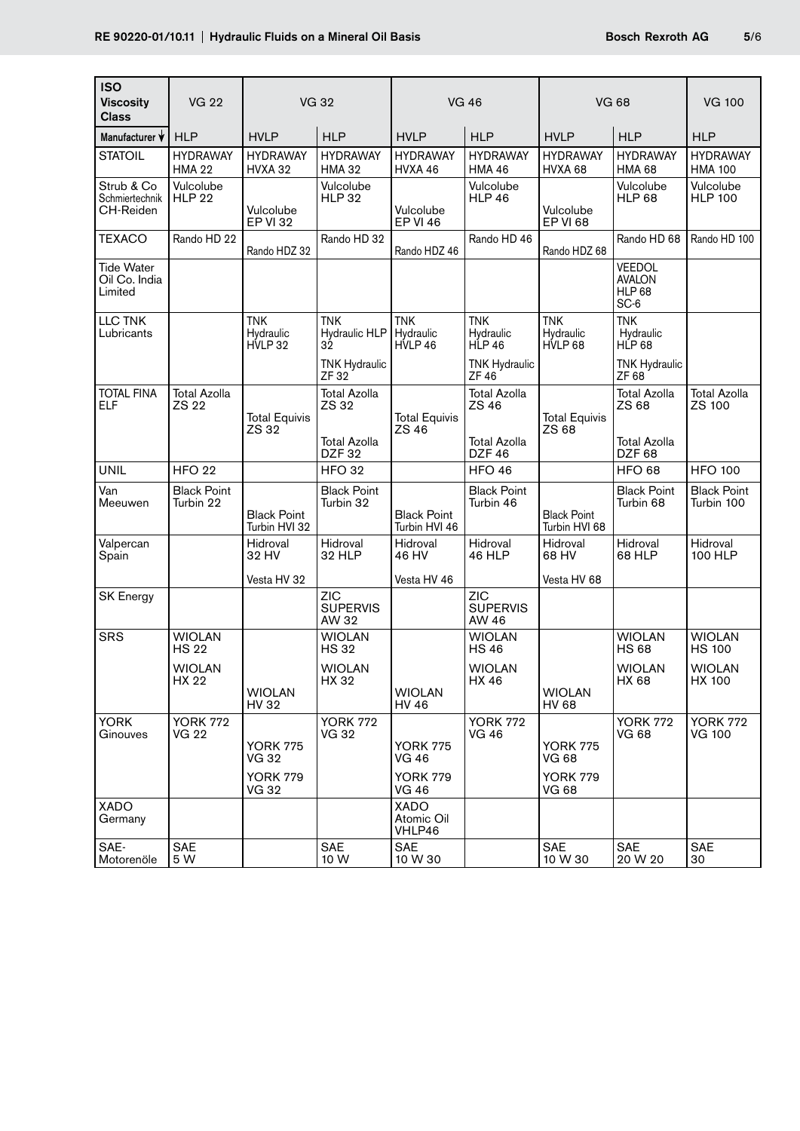| <b>ISO</b><br><b>Viscosity</b><br><b>Class</b> | <b>VG 22</b>                     | <b>VG 32</b>                        |                                          | <b>VG 46</b>                        |                                          | <b>VG 68</b>                        |                                                         | <b>VG 100</b>                     |
|------------------------------------------------|----------------------------------|-------------------------------------|------------------------------------------|-------------------------------------|------------------------------------------|-------------------------------------|---------------------------------------------------------|-----------------------------------|
| Manufacturer V                                 | <b>HLP</b>                       | <b>HVLP</b>                         | <b>HLP</b>                               | <b>HVLP</b>                         | <b>HLP</b>                               | <b>HVLP</b>                         | <b>HLP</b>                                              | <b>HLP</b>                        |
| <b>STATOIL</b>                                 | <b>HYDRAWAY</b><br><b>HMA 22</b> | <b>HYDRAWAY</b><br><b>HVXA 32</b>   | <b>HYDRAWAY</b><br><b>HMA 32</b>         | <b>HYDRAWAY</b><br>HVXA 46          | <b>HYDRAWAY</b><br><b>HMA 46</b>         | <b>HYDRAWAY</b><br>HVXA 68          | <b>HYDRAWAY</b><br>HMA 68                               | <b>HYDRAWAY</b><br><b>HMA 100</b> |
| Strub & Co<br>Schmiertechnik<br>CH-Reiden      | Vulcolube<br><b>HLP 22</b>       | Vulcolube<br><b>EP VI 32</b>        | Vulcolube<br><b>HLP 32</b>               | Vulcolube<br><b>EP VI 46</b>        | Vulcolube<br><b>HLP 46</b>               | Vulcolube<br><b>EP VI 68</b>        | Vulcolube<br><b>HLP 68</b>                              | Vulcolube<br><b>HLP 100</b>       |
| TEXACO                                         | Rando HD 22                      | Rando HDZ 32                        | Rando HD 32                              | Rando HDZ 46                        | Rando HD 46                              | Rando HDZ 68                        | Rando HD 68                                             | Rando HD 100                      |
| <b>Tide Water</b><br>Oil Co. India<br>Limited  |                                  |                                     |                                          |                                     |                                          |                                     | <b>VEEDOL</b><br><b>AVALON</b><br><b>HLP 68</b><br>SC-6 |                                   |
| LLC TNK<br>Lubricants                          |                                  | <b>TNK</b><br>Hydraulic<br>HVLP 32  | <b>TNK</b><br>Hydraulic HLP<br>32        | <b>TNK</b><br>Hydraulic<br>HVLP 46  | <b>TNK</b><br>Hydraulic<br><b>HLP 46</b> | <b>TNK</b><br>Hydraulic<br>HVLP 68  | <b>TNK</b><br>Hydraulic<br>HLP <sub>68</sub>            |                                   |
|                                                |                                  |                                     | <b>TNK Hydraulic</b><br>ZF 32            |                                     | <b>TNK Hydraulic</b><br>ZF 46            |                                     | <b>TNK Hydraulic</b><br>ZF 68                           |                                   |
| <b>TOTAL FINA</b><br>ELF                       | <b>Total Azolla</b><br>ZS 22     | <b>Total Equivis</b><br>ZS 32       | <b>Total Azolla</b><br>ZS 32             | <b>Total Equivis</b><br>ZS 46       | <b>Total Azolla</b><br>ZS 46             | <b>Total Equivis</b><br>ZS 68       | <b>Total Azolla</b><br>ZS 68                            | <b>Total Azolla</b><br>ZS 100     |
|                                                |                                  |                                     | <b>Total Azolla</b><br>DZF <sub>32</sub> |                                     | <b>Total Azolla</b><br>DZF <sub>46</sub> |                                     | <b>Total Azolla</b><br>DZF <sub>68</sub>                |                                   |
| <b>UNIL</b>                                    | <b>HFO 22</b>                    |                                     | <b>HFO 32</b>                            |                                     | <b>HFO 46</b>                            |                                     | <b>HFO 68</b>                                           | <b>HFO 100</b>                    |
| Van<br>Meeuwen                                 | <b>Black Point</b><br>Turbin 22  | <b>Black Point</b><br>Turbin HVI 32 | <b>Black Point</b><br>Turbin 32          | <b>Black Point</b><br>Turbin HVI 46 | <b>Black Point</b><br>Turbin 46          | <b>Black Point</b><br>Turbin HVI 68 | <b>Black Point</b><br>Turbin 68                         | <b>Black Point</b><br>Turbin 100  |
| Valpercan<br>Spain                             |                                  | Hidroval<br>32 HV                   | Hidroval<br>32 HLP                       | Hidroval<br>46 HV                   | Hidroval<br><b>46 HLP</b>                | Hidroval<br>68 HV                   | Hidroval<br>68 HLP                                      | Hidroval<br>100 HLP               |
|                                                |                                  | Vesta HV 32                         |                                          | Vesta HV 46                         |                                          | Vesta HV 68                         |                                                         |                                   |
| <b>SK Energy</b>                               |                                  |                                     | ZIC<br><b>SUPERVIS</b><br>AW 32          |                                     | <b>ZIC</b><br><b>SUPERVIS</b><br>AW 46   |                                     |                                                         |                                   |
| <b>SRS</b>                                     | <b>WIOLAN</b><br><b>HS 22</b>    |                                     | <b>WIOLAN</b><br><b>HS32</b>             |                                     | <b>WIOLAN</b><br><b>HS46</b>             |                                     | <b>WIOLAN</b><br><b>HS68</b>                            | <b>WIOLAN</b><br><b>HS 100</b>    |
|                                                | WIOLAN<br>HX 22                  | <b>WIOLAN</b><br>HV 32              | WIOLAN<br>HX 32                          | <b>WIOLAN</b><br><b>HV 46</b>       | <b>WIOLAN</b><br>HX 46                   | <b>WIOLAN</b><br>HV 68              | <b>WIOLAN</b><br>HX 68                                  | <b>WIOLAN</b><br><b>HX 100</b>    |
| <b>YORK</b><br>Ginouves                        | <b>YORK 772</b><br>VG 22         | <b>YORK 775</b><br>VG 32            | <b>YORK 772</b><br><b>VG 32</b>          | <b>YORK 775</b><br><b>VG 46</b>     | <b>YORK 772</b><br><b>VG 46</b>          | <b>YORK 775</b><br><b>VG 68</b>     | <b>YORK 772</b><br><b>VG 68</b>                         | <b>YORK 772</b><br><b>VG 100</b>  |
|                                                |                                  | <b>YORK 779</b><br>VG 32            |                                          | <b>YORK 779</b><br><b>VG 46</b>     |                                          | <b>YORK 779</b><br><b>VG 68</b>     |                                                         |                                   |
| <b>XADO</b><br>Germany                         |                                  |                                     |                                          | <b>XADO</b><br>Atomic Oil<br>VHLP46 |                                          |                                     |                                                         |                                   |
| SAE-<br>Motorenöle                             | <b>SAE</b><br>5 W                |                                     | <b>SAE</b><br>10 W                       | <b>SAE</b><br>10 W 30               |                                          | <b>SAE</b><br>10 W 30               | <b>SAE</b><br>20 W 20                                   | <b>SAE</b><br>30                  |